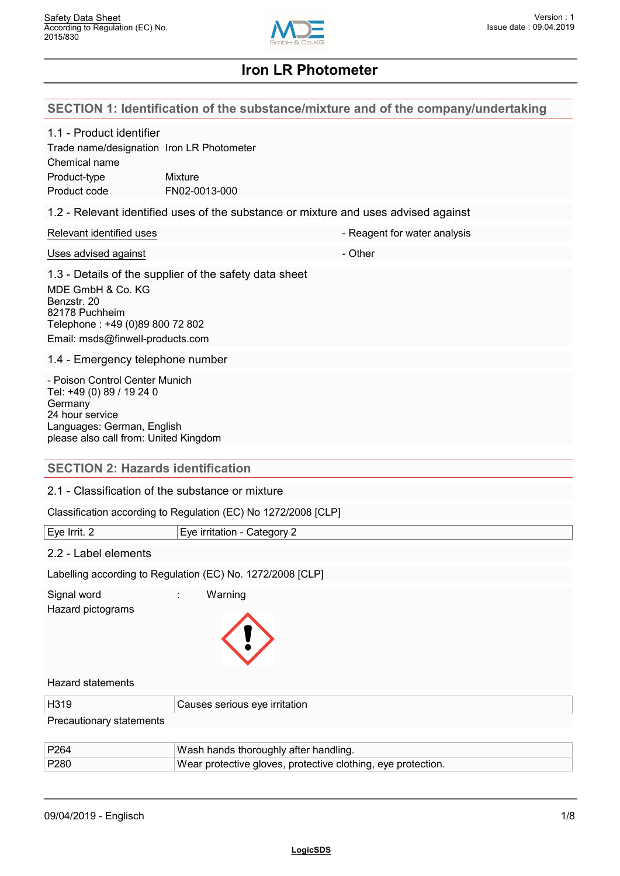

# **SECTION 1: Identification of the substance/mixture and of the company/undertaking**

| 1.1 - Product identifier<br>Trade name/designation Iron LR Photometer<br>Chemical name<br>Product-type<br>Product code                                           | Mixture<br>FN02-0013-000                                                            |
|------------------------------------------------------------------------------------------------------------------------------------------------------------------|-------------------------------------------------------------------------------------|
|                                                                                                                                                                  | 1.2 - Relevant identified uses of the substance or mixture and uses advised against |
| Relevant identified uses                                                                                                                                         | - Reagent for water analysis                                                        |
| Uses advised against                                                                                                                                             | - Other                                                                             |
| MDE GmbH & Co. KG<br>Benzstr. 20<br>82178 Puchheim<br>Telephone: +49 (0)89 800 72 802<br>Email: msds@finwell-products.com                                        | 1.3 - Details of the supplier of the safety data sheet                              |
| 1.4 - Emergency telephone number                                                                                                                                 |                                                                                     |
| - Poison Control Center Munich<br>Tel: +49 (0) 89 / 19 24 0<br>Germany<br>24 hour service<br>Languages: German, English<br>please also call from: United Kingdom |                                                                                     |
| <b>SECTION 2: Hazards identification</b>                                                                                                                         |                                                                                     |
| 2.1 - Classification of the substance or mixture                                                                                                                 |                                                                                     |
|                                                                                                                                                                  | Classification according to Regulation (EC) No 1272/2008 [CLP]                      |
| Eye Irrit. 2                                                                                                                                                     | Eye irritation - Category 2                                                         |
| 2.2 - Label elements                                                                                                                                             |                                                                                     |
|                                                                                                                                                                  | Labelling according to Regulation (EC) No. 1272/2008 [CLP]                          |
| Signal word<br>Hazard pictograms                                                                                                                                 | Warning                                                                             |
| <b>Hazard statements</b>                                                                                                                                         |                                                                                     |
| H319                                                                                                                                                             | Causes serious eye irritation                                                       |
| Precautionary statements                                                                                                                                         |                                                                                     |
| P264                                                                                                                                                             | Wash hands thoroughly after handling.                                               |

| P280 | Wear protective gloves, protective clothing, eye protection. |  |
|------|--------------------------------------------------------------|--|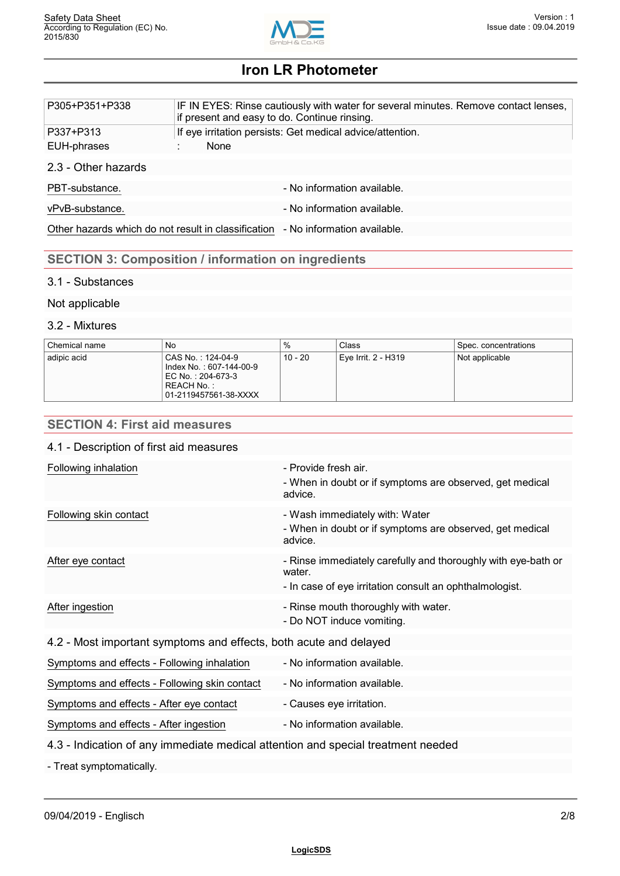

| P305+P351+P338      | IF IN EYES: Rinse cautiously with water for several minutes. Remove contact lenses,<br>if present and easy to do. Continue rinsing. |
|---------------------|-------------------------------------------------------------------------------------------------------------------------------------|
| P337+P313           | If eye irritation persists: Get medical advice/attention.                                                                           |
| EUH-phrases         | None                                                                                                                                |
| 2.3 - Other hazards |                                                                                                                                     |
| PBT-substance.      | - No information available.                                                                                                         |
| vPvB-substance.     | - No information available.                                                                                                         |
|                     | Other hazards which do not result in classification - No information available.                                                     |
|                     |                                                                                                                                     |

# **SECTION 3: Composition / information on ingredients**

## 3.1 - Substances

## Not applicable

## 3.2 - Mixtures

| Chemical name | No                                                                                                       | %       | Class               | Spec. concentrations |
|---------------|----------------------------------------------------------------------------------------------------------|---------|---------------------|----------------------|
| adipic acid   | CAS No.:124-04-9<br>Index No. : 607-144-00-9<br>EC No.: 204-673-3<br>REACH No.:<br>01-2119457561-38-XXXX | 10 - 20 | Eye Irrit. 2 - H319 | Not applicable       |

# **SECTION 4: First aid measures**

#### 4.1 - Description of first aid measures

| Following inhalation                                              | - Provide fresh air.<br>- When in doubt or if symptoms are observed, get medical<br>advice.                                        |  |
|-------------------------------------------------------------------|------------------------------------------------------------------------------------------------------------------------------------|--|
| Following skin contact                                            | - Wash immediately with: Water<br>- When in doubt or if symptoms are observed, get medical<br>advice.                              |  |
| After eye contact                                                 | - Rinse immediately carefully and thoroughly with eye-bath or<br>water.<br>- In case of eye irritation consult an ophthalmologist. |  |
| After ingestion                                                   | - Rinse mouth thoroughly with water.<br>- Do NOT induce vomiting.                                                                  |  |
| 4.2 - Most important symptoms and effects, both acute and delayed |                                                                                                                                    |  |

| Symptoms and effects - Following inhalation   | - No information available. |
|-----------------------------------------------|-----------------------------|
| Symptoms and effects - Following skin contact | - No information available. |
| Symptoms and effects - After eye contact      | - Causes eye irritation.    |
| Symptoms and effects - After ingestion        | - No information available. |

## 4.3 - Indication of any immediate medical attention and special treatment needed

- Treat symptomatically.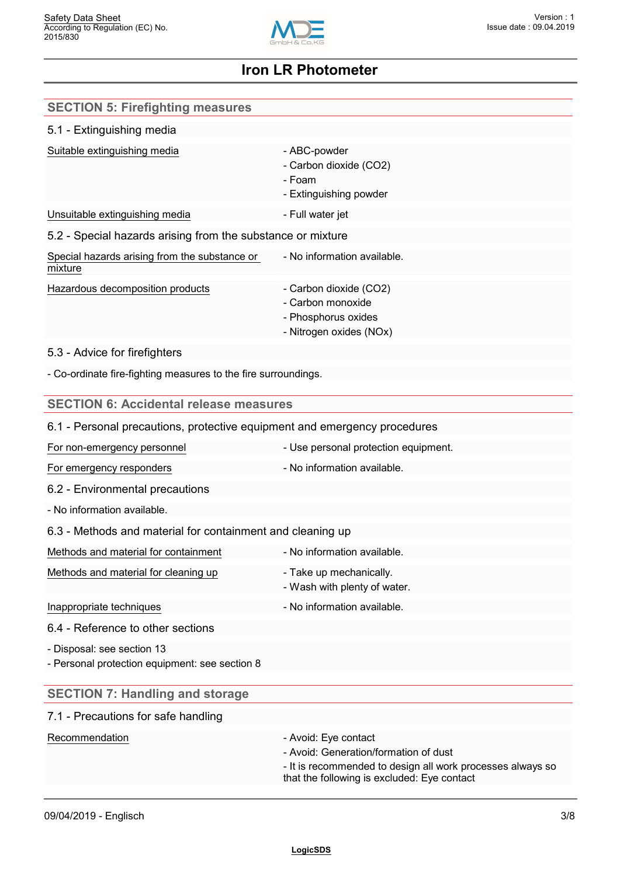

| <b>SECTION 5: Firefighting measures</b>                                      |                                                                                                                                                                            |
|------------------------------------------------------------------------------|----------------------------------------------------------------------------------------------------------------------------------------------------------------------------|
| 5.1 - Extinguishing media                                                    |                                                                                                                                                                            |
| Suitable extinguishing media                                                 | - ABC-powder<br>- Carbon dioxide (CO2)<br>- Foam<br>- Extinguishing powder                                                                                                 |
| Unsuitable extinguishing media                                               | - Full water jet                                                                                                                                                           |
| 5.2 - Special hazards arising from the substance or mixture                  |                                                                                                                                                                            |
| Special hazards arising from the substance or<br>mixture                     | - No information available.                                                                                                                                                |
| Hazardous decomposition products                                             | - Carbon dioxide (CO2)<br>- Carbon monoxide<br>- Phosphorus oxides<br>- Nitrogen oxides (NOx)                                                                              |
| 5.3 - Advice for firefighters                                                |                                                                                                                                                                            |
| - Co-ordinate fire-fighting measures to the fire surroundings.               |                                                                                                                                                                            |
| <b>SECTION 6: Accidental release measures</b>                                |                                                                                                                                                                            |
| 6.1 - Personal precautions, protective equipment and emergency procedures    |                                                                                                                                                                            |
| For non-emergency personnel                                                  | - Use personal protection equipment.                                                                                                                                       |
| For emergency responders                                                     | - No information available.                                                                                                                                                |
| 6.2 - Environmental precautions                                              |                                                                                                                                                                            |
| - No information available.                                                  |                                                                                                                                                                            |
| 6.3 - Methods and material for containment and cleaning up                   |                                                                                                                                                                            |
| Methods and material for containment                                         | - No information available.                                                                                                                                                |
| Methods and material for cleaning up                                         | - Take up mechanically.<br>- Wash with plenty of water.                                                                                                                    |
| Inappropriate techniques                                                     | - No information available.                                                                                                                                                |
| 6.4 - Reference to other sections                                            |                                                                                                                                                                            |
| - Disposal: see section 13<br>- Personal protection equipment: see section 8 |                                                                                                                                                                            |
| <b>SECTION 7: Handling and storage</b>                                       |                                                                                                                                                                            |
| 7.1 - Precautions for safe handling                                          |                                                                                                                                                                            |
| Recommendation                                                               | - Avoid: Eye contact<br>- Avoid: Generation/formation of dust<br>- It is recommended to design all work processes always so<br>that the following is excluded: Eye contact |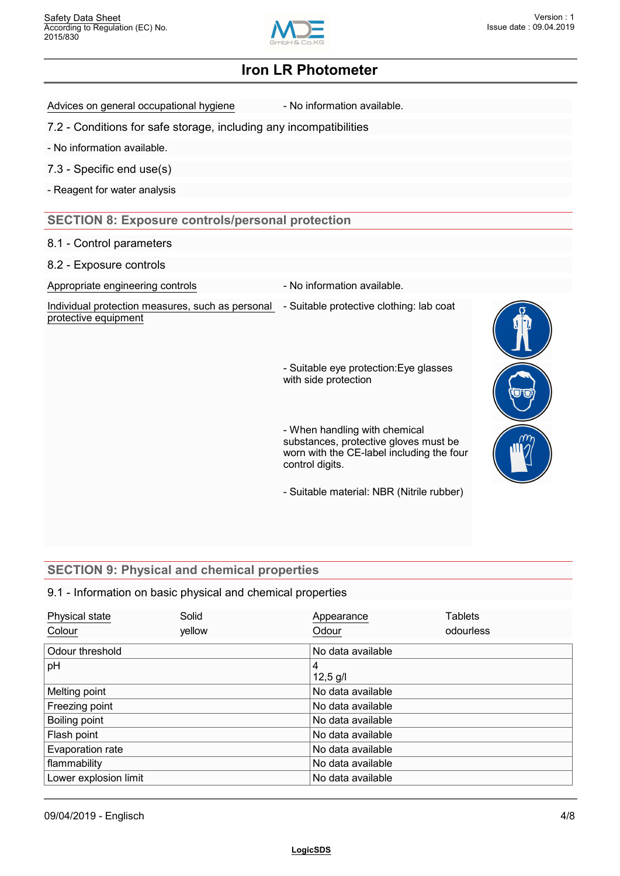

Advices on general occupational hygiene - No information available.

7.2 - Conditions for safe storage, including any incompatibilities

- No information available.

7.3 - Specific end use(s)

- Reagent for water analysis

## **SECTION 8: Exposure controls/personal protection**

#### 8.1 - Control parameters

8.2 - Exposure controls

Appropriate engineering controls **Auditor** - No information available.

Individual protection measures, such as personal - Suitable protective clothing: lab coat protective equipment

- Suitable eye protection:Eye glasses with side protection

- When handling with chemical substances, protective gloves must be worn with the CE-label including the four control digits.

- Suitable material: NBR (Nitrile rubber)

# **SECTION 9: Physical and chemical properties**

#### 9.1 - Information on basic physical and chemical properties

| Physical state        | Solid  |   | Appearance        | <b>Tablets</b> |  |
|-----------------------|--------|---|-------------------|----------------|--|
| Colour                | yellow |   | Odour             | odourless      |  |
| Odour threshold       |        |   | No data available |                |  |
| pH                    |        | 4 |                   |                |  |
|                       |        |   | $12,5$ g/l        |                |  |
| Melting point         |        |   | No data available |                |  |
| Freezing point        |        |   | No data available |                |  |
| Boiling point         |        |   | No data available |                |  |
| Flash point           |        |   | No data available |                |  |
| Evaporation rate      |        |   | No data available |                |  |
| flammability          |        |   | No data available |                |  |
| Lower explosion limit |        |   | No data available |                |  |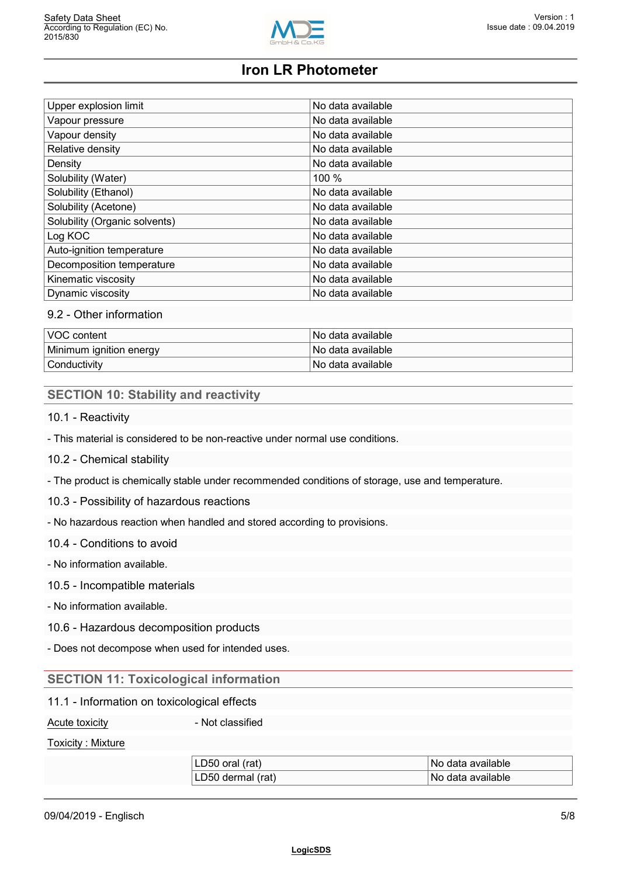

| Upper explosion limit         | No data available |
|-------------------------------|-------------------|
| Vapour pressure               | No data available |
| Vapour density                | No data available |
| Relative density              | No data available |
| Density                       | No data available |
| Solubility (Water)            | 100 %             |
| Solubility (Ethanol)          | No data available |
| Solubility (Acetone)          | No data available |
| Solubility (Organic solvents) | No data available |
| Log KOC                       | No data available |
| Auto-ignition temperature     | No data available |
| Decomposition temperature     | No data available |
| Kinematic viscosity           | No data available |
| Dynamic viscosity             | No data available |

## 9.2 - Other information

| VOC content             | l No data available l |
|-------------------------|-----------------------|
| Minimum ignition energy | l No data available l |
| Conductivity            | l No data available.  |

## **SECTION 10: Stability and reactivity**

- 10.1 Reactivity
- This material is considered to be non-reactive under normal use conditions.
- 10.2 Chemical stability

- The product is chemically stable under recommended conditions of storage, use and temperature.

10.3 - Possibility of hazardous reactions

- No hazardous reaction when handled and stored according to provisions.

- 10.4 Conditions to avoid
- No information available.

#### 10.5 - Incompatible materials

- No information available.
- 10.6 Hazardous decomposition products

- Does not decompose when used for intended uses.

## **SECTION 11: Toxicological information**

11.1 - Information on toxicological effects

Acute toxicity **Acute toxicity Acute toxicity Acute 1** 

#### Toxicity : Mixture

| LD50<br>available<br>(rat)<br>oral<br><b>No</b><br>∍gata |
|----------------------------------------------------------|
| LD50<br>available<br>(rat)<br>No<br>dermal<br>data       |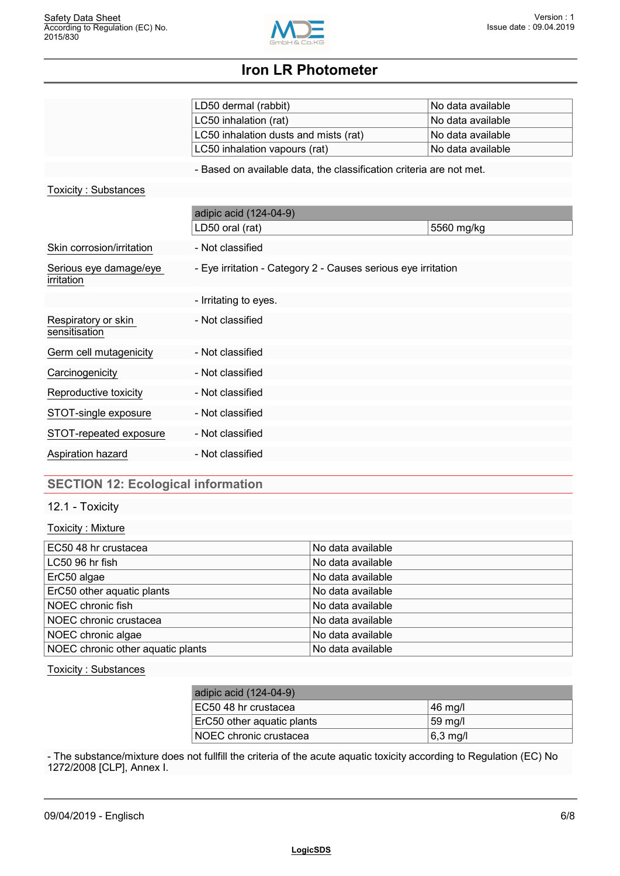

|                                      | LD50 dermal (rabbit)                                                | No data available |
|--------------------------------------|---------------------------------------------------------------------|-------------------|
|                                      | LC50 inhalation (rat)                                               | No data available |
|                                      | LC50 inhalation dusts and mists (rat)                               | No data available |
|                                      | LC50 inhalation vapours (rat)                                       | No data available |
|                                      | - Based on available data, the classification criteria are not met. |                   |
| Toxicity: Substances                 |                                                                     |                   |
|                                      | adipic acid (124-04-9)                                              |                   |
|                                      | LD50 oral (rat)                                                     | 5560 mg/kg        |
| Skin corrosion/irritation            | - Not classified                                                    |                   |
| Serious eye damage/eye<br>irritation | - Eye irritation - Category 2 - Causes serious eye irritation       |                   |
|                                      | - Irritating to eyes.                                               |                   |
| Respiratory or skin<br>sensitisation | - Not classified                                                    |                   |
| Germ cell mutagenicity               | - Not classified                                                    |                   |
| Carcinogenicity                      | - Not classified                                                    |                   |
| Reproductive toxicity                | - Not classified                                                    |                   |
| STOT-single exposure                 | - Not classified                                                    |                   |
| STOT-repeated exposure               | - Not classified                                                    |                   |
| Aspiration hazard                    | - Not classified                                                    |                   |
|                                      |                                                                     |                   |

# **SECTION 12: Ecological information**

12.1 - Toxicity

#### Toxicity : Mixture

| EC50 48 hr crustacea              | No data available |
|-----------------------------------|-------------------|
| LC50 96 hr fish                   | No data available |
| ErC50 algae                       | No data available |
| ErC50 other aquatic plants        | No data available |
| NOEC chronic fish                 | No data available |
| NOEC chronic crustacea            | No data available |
| NOEC chronic algae                | No data available |
| NOEC chronic other aquatic plants | No data available |

#### Toxicity : Substances

| adipic acid (124-04-9)     |                   |
|----------------------------|-------------------|
| EC50 48 hr crustacea       | ∣46 mg/l          |
| ErC50 other aquatic plants | $59 \text{ mg/l}$ |
| NOEC chronic crustacea     | $6,3$ mg/l        |

- The substance/mixture does not fullfill the criteria of the acute aquatic toxicity according to Regulation (EC) No 1272/2008 [CLP], Annex I.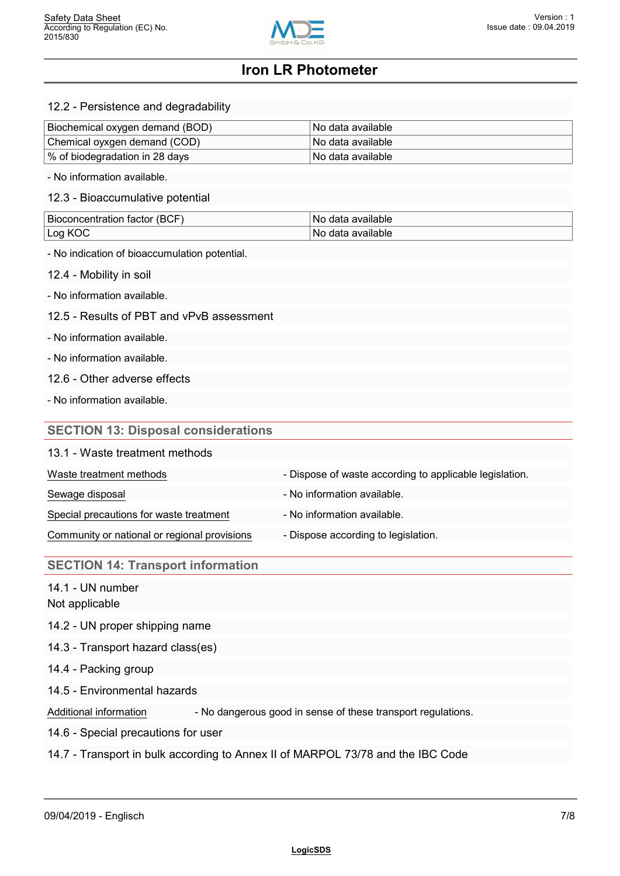

12.2 - Persistence and degradability

| Biochemical oxygen demand (BOD) | l No data available l |
|---------------------------------|-----------------------|
| Chemical oyxgen demand (COD)    | l No data available l |
| ∣% of biodegradation in 28 days | l No data available l |

- No information available.

12.3 - Bioaccumulative potential

| BIO<br>-<br>тасют<br>nceni<br>анов<br>ּי | available<br>Nı     |
|------------------------------------------|---------------------|
| . $\cap r$<br>ж<br>--                    | `ble.<br>:ווו<br>Νú |

- No indication of bioaccumulation potential.

12.4 - Mobility in soil

- No information available.

12.5 - Results of PBT and vPvB assessment

- No information available.

- No information available.

12.6 - Other adverse effects

- No information available.

## **SECTION 13: Disposal considerations**

#### 13.1 - Waste treatment methods

| Waste treatment methods                      | - Dispose of waste according to applicable legislation. |
|----------------------------------------------|---------------------------------------------------------|
| Sewage disposal                              | - No information available.                             |
| Special precautions for waste treatment      | - No information available.                             |
| Community or national or regional provisions | - Dispose according to legislation.                     |

#### **SECTION 14: Transport information**

14.1 - UN number

Not applicable

14.2 - UN proper shipping name

14.3 - Transport hazard class(es)

14.4 - Packing group

14.5 - Environmental hazards

Additional information - No dangerous good in sense of these transport regulations.

14.6 - Special precautions for user

14.7 - Transport in bulk according to Annex II of MARPOL 73/78 and the IBC Code